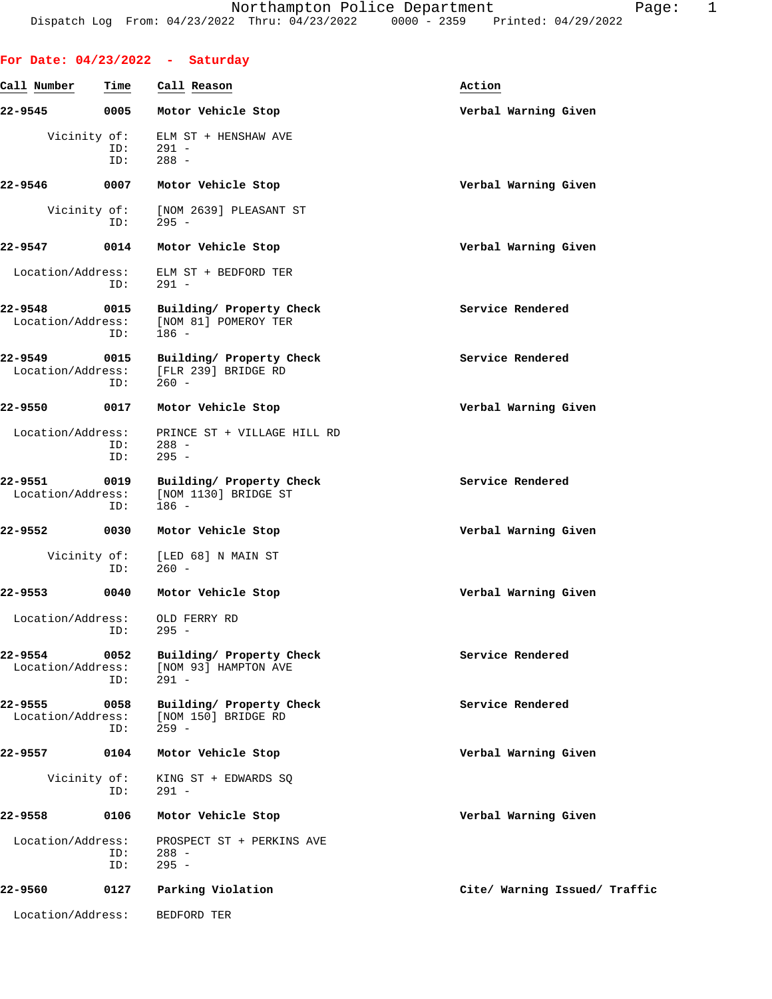| 22-9547     | 0014         | Motor Vehicle Stop                             | Verbal Warning Given                 |  |
|-------------|--------------|------------------------------------------------|--------------------------------------|--|
|             | ID:          | Vicinity of: [NOM 2639] PLEASANT ST<br>$295 -$ |                                      |  |
| 22-9546     | 0007         | Motor Vehicle Stop                             | Verbal Warning Given                 |  |
|             | ID:          | $288 -$                                        |                                      |  |
|             | ID:          | 291 -                                          |                                      |  |
|             | Vicinity of: | ELM ST + HENSHAW AVE                           |                                      |  |
| 22-9545     | 0005         | Motor Vehicle Stop                             | Verbal Warning Given                 |  |
| Call Number | Time         | Call Reason                                    | Action                               |  |
|             |              | For Date: $04/23/2022 -$ Saturday              |                                      |  |
|             |              |                                                |                                      |  |
|             |              | Dispatch Log From: 04/23/2022 Thru: 04/23/2022 | $0000 - 2359$<br>Printed: 04/29/2022 |  |
|             |              | Northampton Police Department                  | Page:                                |  |

 Location/Address: ELM ST + BEDFORD TER ID: 291 -

**22-9548 0015 Building/ Property Check Service Rendered** Location/Address: [NOM 81] POMEROY TER ID: 186 -

- **22-9549** 0015 Building/ Property Check Service Rendered Location/Address: [FLR 239] BRIDGE RD Location/Address: ID: 260 -
- **22-9550 0017 Motor Vehicle Stop Verbal Warning Given**
- Location/Address: PRINCE ST + VILLAGE HILL RD ID: 288 - ID: 295 -
- **22-9551 0019 Building/ Property Check Service Rendered** Execution/Address: [NOM 1130] BRIDGE ST ess: [NOM 1130] BRIDGE ST<br>ID: 186 - $186 -$
- **22-9552 0030 Motor Vehicle Stop Verbal Warning Given** Vicinity of: [LED 68] N MAIN ST
	- ID: 260 -

## **22-9553 0040 Motor Vehicle Stop Verbal Warning Given**

 Location/Address: OLD FERRY RD  $295 -$ 

- **22-9554 0052 Building/ Property Check Service Rendered** Location/Address: [NOM 93] HAMPTON AVE<br>ID: 291 - $291 -$
- 22-9555 0058 Building/ Property Check **Service Rendered Service Rendered** Location/Address: [NOM 150] BRIDGE RD Location/Address: [NOM<br>- 159] ID: ID: 259 -
- **22-9557 0104 Motor Vehicle Stop Verbal Warning Given**
- Vicinity of: KING ST + EDWARDS SQ ID: 291 -
- **22-9558 0106 Motor Vehicle Stop Verbal Warning Given**
- Location/Address: PROSPECT ST + PERKINS AVE ID: 288 -<br>ID: 295 -ID: 295 -
- **22-9560 0127 Parking Violation Cite/ Warning Issued/ Traffic**
- Location/Address: BEDFORD TER
- 
- 
- 
- 
- 
-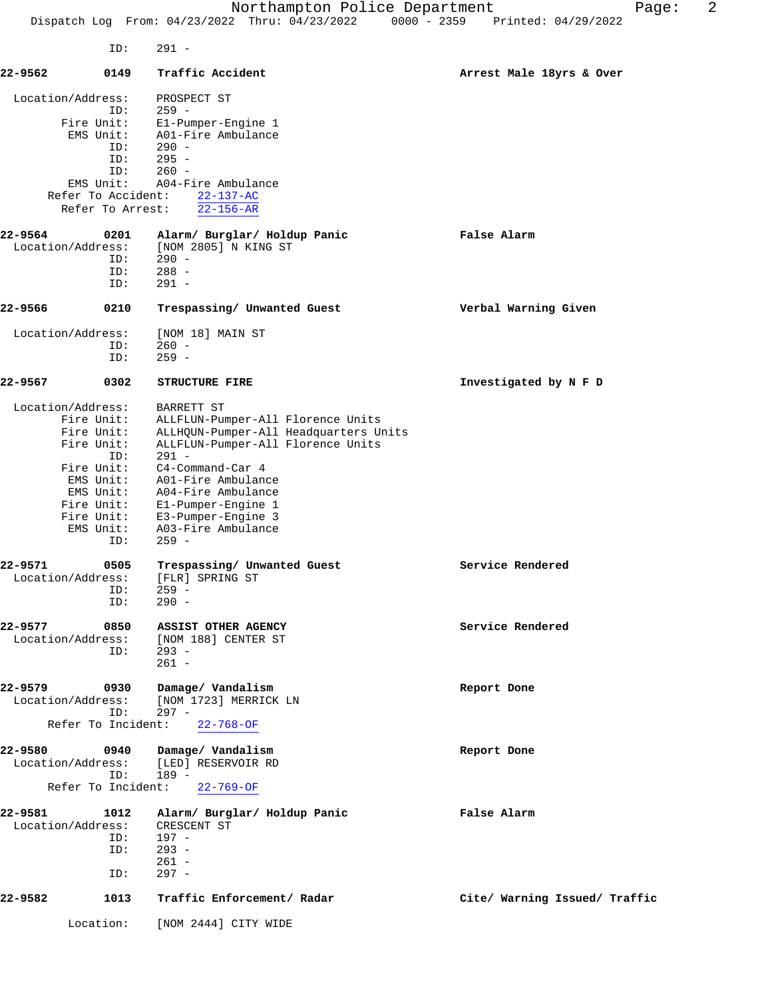|                              | ID:                                                                                                                                   | $291 -$                                                                                                                                                                                                                                                                               |                               |
|------------------------------|---------------------------------------------------------------------------------------------------------------------------------------|---------------------------------------------------------------------------------------------------------------------------------------------------------------------------------------------------------------------------------------------------------------------------------------|-------------------------------|
| 22-9562                      | 0149                                                                                                                                  | Traffic Accident                                                                                                                                                                                                                                                                      | Arrest Male 18yrs & Over      |
| Location/Address:            | ID:                                                                                                                                   | PROSPECT ST<br>$259 -$                                                                                                                                                                                                                                                                |                               |
|                              | Fire Unit:<br>$ENS$ Unit:                                                                                                             | El-Pumper-Engine 1<br>A01-Fire Ambulance                                                                                                                                                                                                                                              |                               |
|                              | ID:<br>ID:                                                                                                                            | $290 -$<br>$295 -$                                                                                                                                                                                                                                                                    |                               |
|                              | ID:<br>EMS Unit:                                                                                                                      | $260 -$<br>A04-Fire Ambulance                                                                                                                                                                                                                                                         |                               |
|                              | Refer To Accident:<br>Refer To Arrest:                                                                                                | $22 - 137 - AC$<br>$22 - 156 - AR$                                                                                                                                                                                                                                                    |                               |
| 22-9564<br>Location/Address: | 0201<br>ID:                                                                                                                           | Alarm/ Burglar/ Holdup Panic<br>[NOM 2805] N KING ST<br>$290 -$                                                                                                                                                                                                                       | False Alarm                   |
|                              | ID:<br>ID:                                                                                                                            | $288 -$<br>$291 -$                                                                                                                                                                                                                                                                    |                               |
| 22-9566                      | 0210                                                                                                                                  | Trespassing/ Unwanted Guest                                                                                                                                                                                                                                                           | Verbal Warning Given          |
| Location/Address:            | ID:<br>ID:                                                                                                                            | [NOM 18] MAIN ST<br>$260 -$<br>$259 -$                                                                                                                                                                                                                                                |                               |
| 22-9567                      | 0302                                                                                                                                  | <b>STRUCTURE FIRE</b>                                                                                                                                                                                                                                                                 | Investigated by N F D         |
| Location/Address:            | Fire Unit:<br>Fire Unit:<br>Fire Unit:<br>ID:<br>Fire Unit:<br>EMS Unit:<br>EMS Unit:<br>Fire Unit:<br>Fire Unit:<br>EMS Unit:<br>ID: | BARRETT ST<br>ALLFLUN-Pumper-All Florence Units<br>ALLHQUN-Pumper-All Headquarters Units<br>ALLFLUN-Pumper-All Florence Units<br>$291 -$<br>C4-Command-Car 4<br>A01-Fire Ambulance<br>A04-Fire Ambulance<br>El-Pumper-Engine 1<br>E3-Pumper-Engine 3<br>A03-Fire Ambulance<br>$259 -$ |                               |
| 22-9571<br>Location/Address: | 0505<br>ID:<br>ID:                                                                                                                    | Trespassing/ Unwanted Guest<br>[FLR] SPRING ST<br>$259 -$<br>$290 -$                                                                                                                                                                                                                  | Service Rendered              |
| 22-9577                      | 0850<br>ID:                                                                                                                           | <b>ASSIST OTHER AGENCY</b><br>Location/Address: [NOM 188] CENTER ST<br>$293 -$<br>$261 -$                                                                                                                                                                                             | Service Rendered              |
| 22-9579 0930                 | ID:                                                                                                                                   | Damage/ Vandalism<br>Location/Address: [NOM 1723] MERRICK LN<br>297 -                                                                                                                                                                                                                 | Report Done                   |
|                              | Refer To Incident:                                                                                                                    | $22 - 768 - OF$                                                                                                                                                                                                                                                                       |                               |
|                              | ID:<br>Refer To Incident:                                                                                                             | 22-9580 0940 Damage/Vandalism<br>Location/Address: [LED] RESERVOIR RD<br>$189 -$<br>$22 - 769 - OF$                                                                                                                                                                                   | Report Done                   |
| 22-9581<br>Location/Address: | 1012                                                                                                                                  | Alarm/ Burglar/ Holdup Panic<br>CRESCENT ST                                                                                                                                                                                                                                           | False Alarm                   |
|                              | ID:<br>ID:                                                                                                                            | 197 -<br>$293 -$                                                                                                                                                                                                                                                                      |                               |
|                              | ID:                                                                                                                                   | $261 -$<br>$297 -$                                                                                                                                                                                                                                                                    |                               |
| 22-9582                      |                                                                                                                                       | 1013 Traffic Enforcement/ Radar                                                                                                                                                                                                                                                       | Cite/ Warning Issued/ Traffic |
|                              | Location:                                                                                                                             | [NOM 2444] CITY WIDE                                                                                                                                                                                                                                                                  |                               |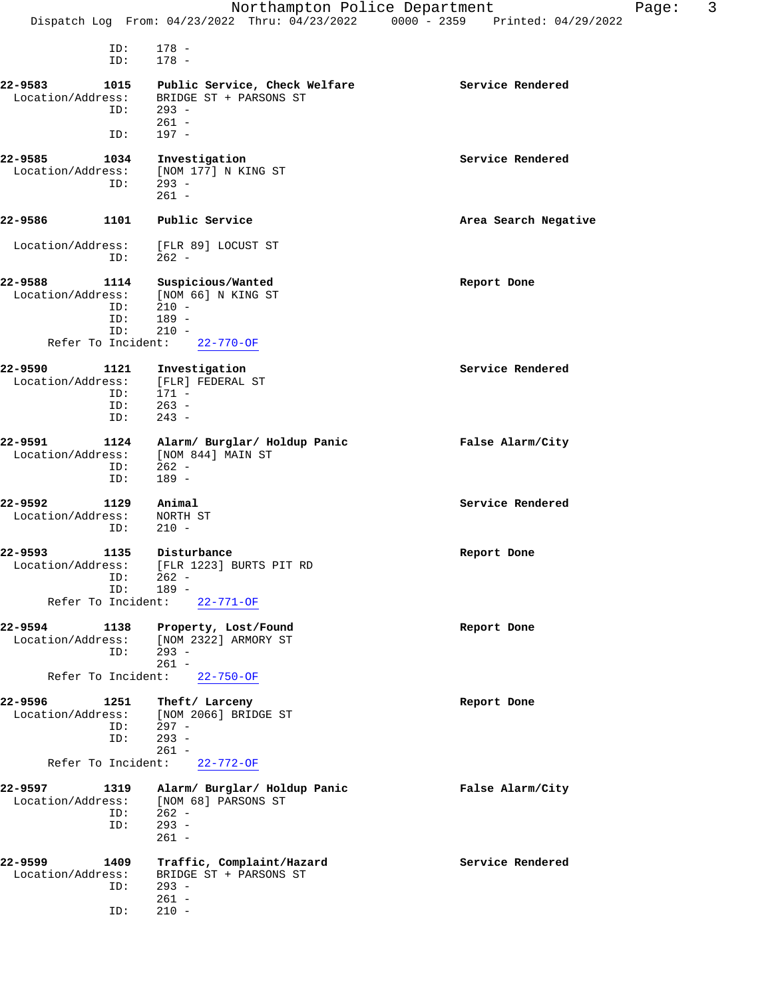|                              |             | Northampton Police Department                                                 | Dispatch Log From: 04/23/2022 Thru: 04/23/2022 0000 - 2359 Printed: 04/29/2022 | Page: | 3 |
|------------------------------|-------------|-------------------------------------------------------------------------------|--------------------------------------------------------------------------------|-------|---|
|                              | ID:         | $178 -$                                                                       |                                                                                |       |   |
|                              | ID:         | $178 -$                                                                       |                                                                                |       |   |
| 22-9583<br>Location/Address: | 1015<br>ID: | Public Service, Check Welfare<br>BRIDGE ST + PARSONS ST<br>$293 -$<br>$261 -$ | Service Rendered                                                               |       |   |
|                              | ID:         | $197 -$                                                                       |                                                                                |       |   |
| 22-9585<br>Location/Address: | 1034<br>ID: | Investigation<br>[NOM 177] N KING ST<br>$293 -$<br>$261 -$                    | Service Rendered                                                               |       |   |
| 22-9586                      | 1101        | Public Service                                                                | Area Search Negative                                                           |       |   |
| Location/Address:            | ID:         | [FLR 89] LOCUST ST<br>$262 -$                                                 |                                                                                |       |   |
| 22-9588<br>Location/Address: | 1114<br>ID: | Suspicious/Wanted<br>[NOM 66] N KING ST<br>$210 -$                            | Report Done                                                                    |       |   |
| Refer To Incident:           | ID:<br>ID:  | 189 -<br>$210 -$<br>$22 - 770 - OF$                                           |                                                                                |       |   |
|                              |             |                                                                               |                                                                                |       |   |
| 22-9590<br>Location/Address: | 1121<br>ID: | Investigation<br>[FLR] FEDERAL ST<br>$171 -$                                  | Service Rendered                                                               |       |   |
|                              | ID:<br>ID:  | $263 -$<br>$243 -$                                                            |                                                                                |       |   |
| 22-9591<br>Location/Address: | 1124        | Alarm/ Burglar/ Holdup Panic<br>[NOM 844] MAIN ST                             | False Alarm/City                                                               |       |   |
|                              | ID:<br>ID:  | $262 -$<br>$189 -$                                                            |                                                                                |       |   |
| 22-9592<br>Location/Address: | 1129        | Animal<br>NORTH ST                                                            | Service Rendered                                                               |       |   |
|                              | ID:         | $210 -$                                                                       |                                                                                |       |   |
| 22-9593                      | 1135        | Disturbance<br>Location/Address: [FLR 1223] BURTS PIT RD                      | Report Done                                                                    |       |   |
|                              | ID:<br>ID:  | $262 -$<br>$189 -$                                                            |                                                                                |       |   |
| Refer To Incident:           |             | $22 - 771 - OF$                                                               |                                                                                |       |   |
| 22-9594<br>Location/Address: | 1138        | Property, Lost/Found<br>[NOM 2322] ARMORY ST                                  | Report Done                                                                    |       |   |
|                              | ID:         | $293 -$<br>$261 -$                                                            |                                                                                |       |   |
| Refer To Incident:           |             | $22 - 750 - OF$                                                               |                                                                                |       |   |
| 22-9596                      | 1251<br>ID: | Theft/ Larceny<br>Location/Address: [NOM 2066] BRIDGE ST<br>$297 -$           | Report Done                                                                    |       |   |
|                              | ID:         | $293 -$<br>$261 -$                                                            |                                                                                |       |   |
| Refer To Incident:           |             | $22 - 772 - OF$                                                               |                                                                                |       |   |
| 22-9597<br>Location/Address: | 1319        | Alarm/ Burglar/ Holdup Panic<br>[NOM 68] PARSONS ST                           | False Alarm/City                                                               |       |   |
|                              | ID:<br>ID:  | $262 -$<br>$293 -$<br>$261 -$                                                 |                                                                                |       |   |
| 22-9599                      | 1409        | Traffic, Complaint/Hazard                                                     | Service Rendered                                                               |       |   |
| Location/Address:            | ID:         | BRIDGE ST + PARSONS ST<br>$293 -$<br>$261 -$                                  |                                                                                |       |   |
|                              | ID:         | $210 -$                                                                       |                                                                                |       |   |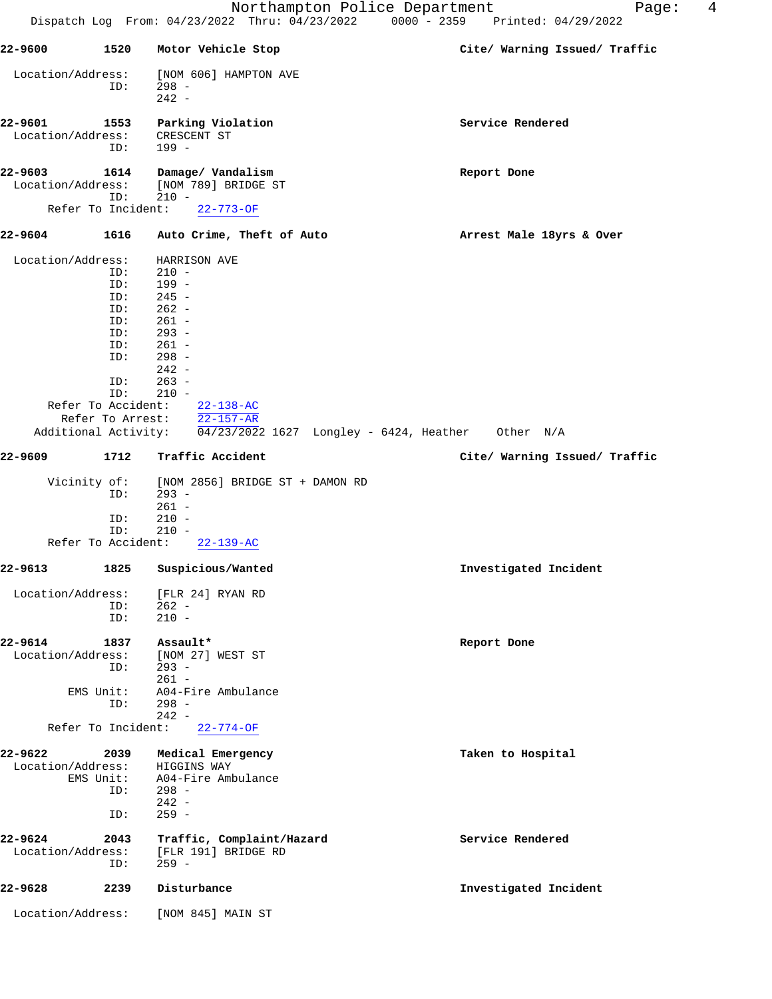|                              |             | Northampton Police Department<br>Dispatch Log From: 04/23/2022 Thru: 04/23/2022 0000 - 2359 Printed: 04/29/2022 | 4<br>Page:                    |
|------------------------------|-------------|-----------------------------------------------------------------------------------------------------------------|-------------------------------|
| 22-9600                      | 1520        | Motor Vehicle Stop                                                                                              | Cite/ Warning Issued/ Traffic |
| Location/Address:            | ID:         | [NOM 606] HAMPTON AVE<br>$298 -$<br>$242 -$                                                                     |                               |
| 22-9601<br>Location/Address: | 1553<br>ID: | Parking Violation<br>CRESCENT ST<br>199 -                                                                       | Service Rendered              |
|                              |             |                                                                                                                 |                               |
| 22-9603<br>Location/Address: | 1614<br>ID: | Damage/ Vandalism<br>[NOM 789] BRIDGE ST<br>$210 -$                                                             | Report Done                   |
| Refer To Incident:           |             | $22 - 773 - OF$                                                                                                 |                               |
| 22-9604                      | 1616        | Auto Crime, Theft of Auto                                                                                       | Arrest Male 18yrs & Over      |
| Location/Address:            |             | HARRISON AVE                                                                                                    |                               |
|                              | ID:         | $210 -$                                                                                                         |                               |
|                              | ID:         | 199 -                                                                                                           |                               |
|                              | ID:         | $245 -$                                                                                                         |                               |
|                              | ID:         | $262 -$                                                                                                         |                               |
|                              | ID:         | $261 -$                                                                                                         |                               |
|                              | ID:         | $293 -$                                                                                                         |                               |
|                              | ID:         | $261 -$                                                                                                         |                               |
|                              | ID:         | $298 -$                                                                                                         |                               |
|                              |             | $242 -$                                                                                                         |                               |
|                              | ID:         | $263 -$                                                                                                         |                               |
|                              | ID:         | $210 -$                                                                                                         |                               |
| Refer To Accident:           |             | $22 - 138 - AC$                                                                                                 |                               |
|                              |             | Refer To Arrest: 22-157-AR                                                                                      |                               |
|                              |             | Additional Activity: 04/23/2022 1627 Longley - 6424, Heather Other N/A                                          |                               |
| 22-9609                      | 1712        | Traffic Accident                                                                                                | Cite/ Warning Issued/ Traffic |
| Vicinity of:                 |             | [NOM 2856] BRIDGE ST + DAMON RD                                                                                 |                               |
|                              | ID:         | $293 -$                                                                                                         |                               |
|                              |             | $261 -$                                                                                                         |                               |
|                              | ID:         | $210 -$                                                                                                         |                               |
|                              | ID:         | $210 -$                                                                                                         |                               |
| Refer To Accident:           |             | $22 - 139 - AC$                                                                                                 |                               |
| 22-9613                      |             | 1825 Suspicious/Wanted                                                                                          | Investigated Incident         |
|                              |             |                                                                                                                 |                               |
| Location/Address:            |             | [FLR 24] RYAN RD                                                                                                |                               |
|                              | ID:<br>ID:  | $262 -$<br>$210 -$                                                                                              |                               |
|                              |             |                                                                                                                 |                               |
| 22-9614                      | 1837        | Assault*                                                                                                        |                               |
| Location/Address:            |             |                                                                                                                 | Report Done                   |
|                              |             | [NOM 27] WEST ST                                                                                                |                               |
|                              | ID:         | $293 -$<br>$261 -$                                                                                              |                               |
| EMS Unit:                    |             | A04-Fire Ambulance                                                                                              |                               |
|                              | ID:         | $298 -$                                                                                                         |                               |
|                              |             | $242 -$                                                                                                         |                               |
| Refer To Incident:           |             | $22 - 774 - OF$                                                                                                 |                               |
|                              |             |                                                                                                                 |                               |
| 22-9622                      | 2039        | Medical Emergency                                                                                               | Taken to Hospital             |
| Location/Address:            |             | HIGGINS WAY                                                                                                     |                               |
| EMS Unit:                    |             | A04-Fire Ambulance                                                                                              |                               |
|                              | ID:         | $298 -$                                                                                                         |                               |
|                              |             | $242 -$                                                                                                         |                               |
|                              | ID:         | $259 -$                                                                                                         |                               |
| 22-9624                      | 2043        | Traffic, Complaint/Hazard                                                                                       | Service Rendered              |
|                              |             |                                                                                                                 |                               |
| Location/Address:            |             | [FLR 191] BRIDGE RD                                                                                             |                               |
|                              | ID:         | $259 -$                                                                                                         |                               |
| 22-9628                      | 2239        | Disturbance                                                                                                     | Investigated Incident         |
| Location/Address:            |             |                                                                                                                 |                               |
|                              |             | [NOM 845] MAIN ST                                                                                               |                               |